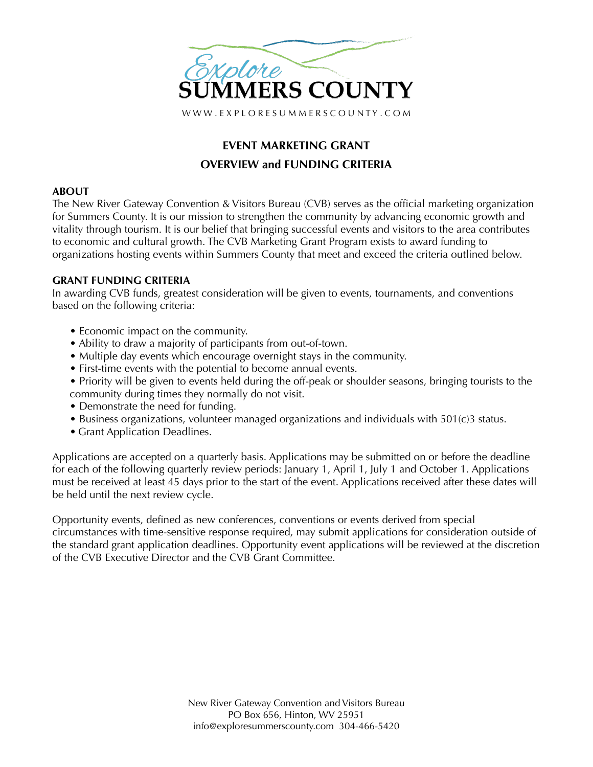

# **EVENT MARKETING GRANT OVERVIEW and FUNDING CRITERIA**

## **ABOUT**

The New River Gateway Convention & Visitors Bureau (CVB) serves as the official marketing organization for Summers County. It is our mission to strengthen the community by advancing economic growth and vitality through tourism. It is our belief that bringing successful events and visitors to the area contributes to economic and cultural growth. The CVB Marketing Grant Program exists to award funding to organizations hosting events within Summers County that meet and exceed the criteria outlined below.

# **GRANT FUNDING CRITERIA**

In awarding CVB funds, greatest consideration will be given to events, tournaments, and conventions based on the following criteria:

- Economic impact on the community.
- Ability to draw a majority of participants from out-of-town.
- Multiple day events which encourage overnight stays in the community.
- First-time events with the potential to become annual events.
- Priority will be given to events held during the off-peak or shoulder seasons, bringing tourists to the community during times they normally do not visit.
- Demonstrate the need for funding.
- Business organizations, volunteer managed organizations and individuals with 501(c)3 status.
- Grant Application Deadlines.

Applications are accepted on a quarterly basis. Applications may be submitted on or before the deadline for each of the following quarterly review periods: January 1, April 1, July 1 and October 1. Applications must be received at least 45 days prior to the start of the event. Applications received after these dates will be held until the next review cycle.

Opportunity events, defined as new conferences, conventions or events derived from special circumstances with time-sensitive response required, may submit applications for consideration outside of the standard grant application deadlines. Opportunity event applications will be reviewed at the discretion of the CVB Executive Director and the CVB Grant Committee.